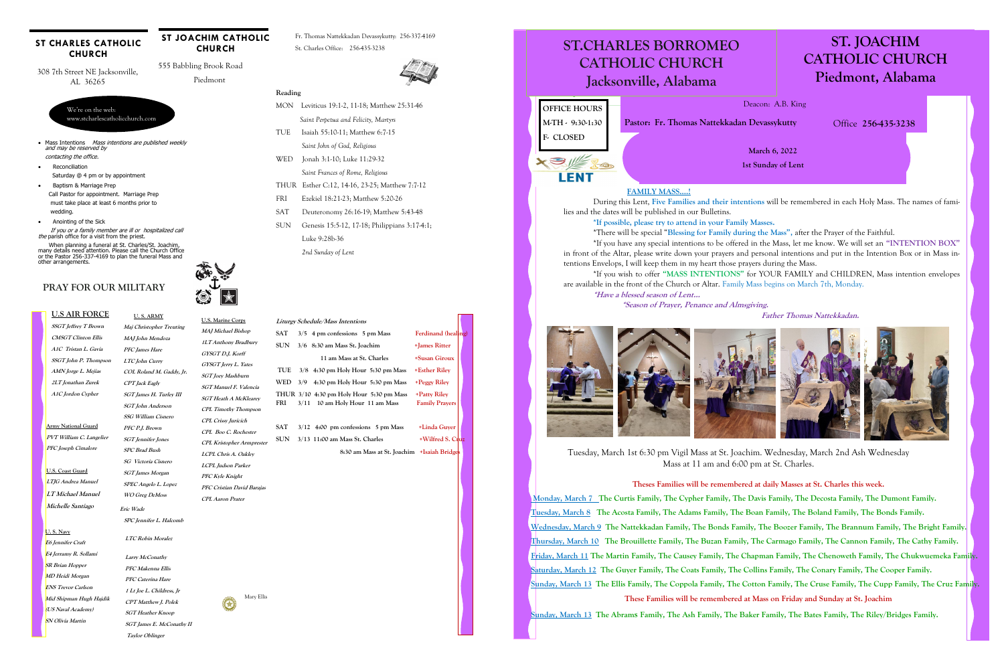#### **U.S AIR FORCE**

**SSGT Jeffrey T Brown CMSGT Clinton Ellis A1C Tristan L. Gavia SSGT John P. Thompson AMN Jorge L. Mejias 2LT Jonathan Zurek A1C Jordon Cypher** 

### **PRAY FOR OUR MILITARY**

#### **ST CHARLES CATHOLIC CHURCH**

**Army National Guard PVT William C. Langelier PFC Joseph Cimalore** 

**U.S. Coast Guard LTJG Andrea Manuel LT Michael Manuel Michelle Santiago** 

 **U. S. ARMY**

## **Maj Christopher Treuting MAJ John Mendoza PFC James Hare LTC John Curry COL Roland M. Gaddy, Jr. CPT Jack Eagly SGT James H. Turley III SGT John Anderson SSG William Cisnero PFC P.J. Brown SGT Jennifer Jones SPC Brad Bush SG Victoria Cisnero SGT James Morgan**

- Mass Intentions Mass intentions are published weekly and may be reserved by
- contacting the office.
- Reconciliation Saturday @ 4 pm or by appointment
- Baptism & Marriage Prep Call Pastor for appointment. Marriage Prep must take place at least 6 months prior to wedding.
- Anointing of the Sick

 If you or a family member are ill or hospitalized call the parish office for a visit from the priest.

We're on the web: www.stcharlescatholicchurch.com

308 7th Street NE Jacksonville, AL 36265

555 Babbling Brook Road

Piedmont

**ST JOACHIM CATHOLIC CHURCH** 

Fr. Thomas Nattekkadan Devassykutty: 256-337-4169 St. Charles Office: 256-435-3238



 When planning a funeral at St. Charles/St. Joachim, many details need attention. Please call the Church Office or the Pastor 256-337-4169 to plan the funeral Mass and other arrangements.

> Mary Ellis  $\bigcirc$

#### **Reading**

- MON Leviticus 19:1-2, 11-18; Matthew 25:31-46
- *Saint Perpetua and Felicity, Martyrs*
- TUE Isaiah 55:10-11; Matthew 6:7-15
- *Saint John of God, Religious*
- WED Jonah 3:1-10; Luke 11:29-32
	- *Saint Frances of Rome, Religious*
- THUR Esther C:12, 14-16, 23-25; Matthew 7:7-12
- FRI Ezekiel 18:21-23; Matthew 5:20-26
- SAT Deuteronomy 26:16-19; Matthew 5:43-48
- SUN Genesis 15:5-12, 17-18; Philippians 3:17-4:1; Luke 9:28b-36

*2nd Sunday of Lent* 

**SPEC Angelo L. Lopez WO Greg DeMoss CPL Boo C. Rochester CPL Kristopher Armprester LCPL Chris A. Oakley LCPL Judson Parker PFC Kyle Knight PFC Cristian David Barajas CPL Aaron Prater** 

 **Eric Wade** 

 **SPC Jennifer L. Halcomb** 

**LTC Robin Moralez** 

**Larry McConathy PFC Makenna Ellis PFC Caterina Hare** 

**1 Lt Joe L. Childress, Jr CPT Matthew J. Polek SGT Heather Knoop SGT James E. McConathy II Taylor Oblinger** 

#### **U. S. Navy**

**E6 Jennifer Craft E4 Jerramy R. Sollami SR Brian Hopper MD Heidi Morgan ENS Trevor Carlson Mid Shipman Hugh Hajdik (US Naval Academy) SN Olivia Martin** 

## **Liturgy Schedule/Mass Intentions**  SAT 3/5 4 pm confessions 5 pm Mass Ferdinand (healing) **SUN 3/6 8:30 am Mass St. Joachim +James Ritter 11 am Mass at St. Charles +Susan Giroux TUE 3/8 4:30 pm Holy Hour 5:30 pm Mass +Esther Riley WED 3/9 4:30 pm Holy Hour 5:30 pm Mass +Peggy Riley THUR 3/10 4:30 pm Holy Hour 5:30 pm Mass +Patty Riley FRI 3/11 10 am Holy Hour 11 am Mass Family Prayers SAT 3/12 4:00 pm confessions 5 pm Mass +Linda Guyer**

 **8:30 am Mass at St. Joachim +Isaiah Bridges** 

**U.S. Marine Corps MAJ Michael Bishop 1LT Anthony Bradbury GYSGT D.J. Korff GYSGT Jerry L. Yates SGT Joey Mashburn SGT Manuel F. Valencia SGT Heath A McKlearey CPL Timothy Thompson CPL Crissy Juricich** 

### ST.CHARLES BORROMEO **ST.CHARLES BORROMEO ST.CHARLES BORROMEO**  CATHOLIC CHURCH **CATHOLIC CHURCH CATHOLIC CHURCH**  Jacksonville, Alabama **Jacksonville, Alabama Jacksonville, Alabama ST. JOACHIM CATHOLIC CHURCH Piedmont, Alabama**

**March 6, 2022 1st Sunday of Lent** 

Deacon: A.B. King

Office **256-435-3238** 

# **OFFICE HOURS M-TH - 9:30-1:30 F- CLOSED**

**Pastor: Fr. Thomas Nattekkadan Devassykutty** 

XSIE30 **LENT** 

**Theses Families will be remembered at daily Masses at St. Charles this week.** 

 **Monday, March 7 The Curtis Family, The Cypher Family, The Davis Family, The Decosta Family, The Dumont Family. Tuesday, March 8 The Acosta Family, The Adams Family, The Boan Family, The Boland Family, The Bonds Family. Wednesday, March 9 The Nattekkadan Family, The Bonds Family, The Boozer Family, The Brannum Family, The Bright Family. Thursday, March 10 The Brouillette Family, The Buzan Family, The Carmago Family, The Cannon Family, The Cathy Family. Friday, March 11 The Martin Family, The Causey Family, The Chapman Family, The Chenoweth Family, The Chukwuemeka Family. Saturday, March 12 The Guyer Family, The Coats Family, The Collins Family, The Conary Family, The Cooper Family. Sunday, March 13 The Ellis Family, The Coppola Family, The Cotton Family, The Cruse Family, The Cupp Family, The Cruz Family. These Families will be remembered at Mass on Friday and Sunday at St. Joachim** 

**Sunday, March 13 The Abrams Family, The Ash Family, The Baker Family, The Bates Family, The Riley/Bridges Family.**

**SUN** 3/13 11:00 am Mass St. Charles  $+Wilfred S. Chu$ 

**FAMILY MASS….!**

During this Lent, **Five Families and their intentions** will be remembered in each Holy Mass. The names of families and the dates will be published in our Bulletins. **\*If possible, please try to attend in your Family Masses.** 

\*There will be special "**Blessing for Family during the Mass",** after the Prayer of the Faithful. \*If you have any special intentions to be offered in the Mass, let me know. We will set an **"INTENTION BOX"** in front of the Altar, please write down your prayers and personal intentions and put in the Intention Box or in Mass intentions Envelops, I will keep them in my heart those prayers during the Mass. \*If you wish to offer **"MASS INTENTIONS"** for YOUR FAMILY and CHILDREN, Mass intention envelopes are available in the front of the Church or Altar. Family Mass begins on March 7th, Monday. **\*Have a blessed season of Lent…** 

 **\*Season of Prayer, Penance and Almsgiving.** 



**Father Thomas Nattekkadan.**

Tuesday, March 1st 6:30 pm Vigil Mass at St. Joachim. Wednesday, March 2nd Ash Wednesday Mass at 11 am and 6:00 pm at St. Charles.